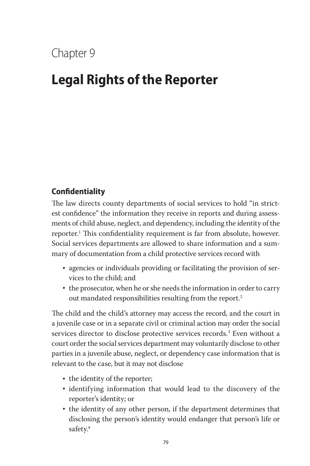## Chapter 9

# **Legal Rights of the Reporter**

### **Confidentiality**

The law directs county departments of social services to hold "in strictest confidence" the information they receive in reports and during assessments of child abuse, neglect, and dependency, including the identity of the reporter.1 This confidentiality requirement is far from absolute, however. Social services departments are allowed to share information and a summary of documentation from a child protective services record with

- agencies or individuals providing or facilitating the provision of services to the child; and
- the prosecutor, when he or she needs the information in order to carry out mandated responsibilities resulting from the report.<sup>2</sup>

The child and the child's attorney may access the record, and the court in a juvenile case or in a separate civil or criminal action may order the social services director to disclose protective services records.3 Even without a court order the social services department may voluntarily disclose to other parties in a juvenile abuse, neglect, or dependency case information that is relevant to the case, but it may not disclose

- the identity of the reporter;
- identifying information that would lead to the discovery of the reporter's identity; or
- the identity of any other person, if the department determines that disclosing the person's identity would endanger that person's life or safety.<sup>4</sup>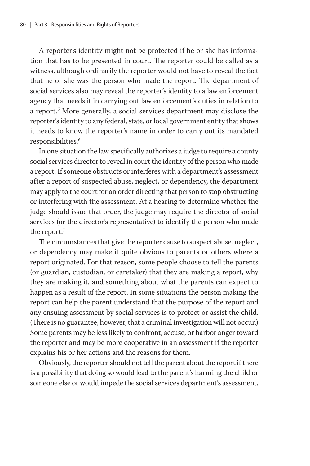A reporter's identity might not be protected if he or she has information that has to be presented in court. The reporter could be called as a witness, although ordinarily the reporter would not have to reveal the fact that he or she was the person who made the report. The department of social services also may reveal the reporter's identity to a law enforcement agency that needs it in carrying out law enforcement's duties in relation to a report.5 More generally, a social services department may disclose the reporter's identity to any federal, state, or local government entity that shows it needs to know the reporter's name in order to carry out its mandated responsibilities.<sup>6</sup>

In one situation the law specifically authorizes a judge to require a county social services director to reveal in court the identity of the person who made a report. If someone obstructs or interferes with a department's assessment after a report of suspected abuse, neglect, or dependency, the department may apply to the court for an order directing that person to stop obstructing or interfering with the assessment. At a hearing to determine whether the judge should issue that order, the judge may require the director of social services (or the director's representative) to identify the person who made the report.<sup>7</sup>

The circumstances that give the reporter cause to suspect abuse, neglect, or dependency may make it quite obvious to parents or others where a report originated. For that reason, some people choose to tell the parents (or guardian, custodian, or caretaker) that they are making a report, why they are making it, and something about what the parents can expect to happen as a result of the report. In some situations the person making the report can help the parent understand that the purpose of the report and any ensuing assessment by social services is to protect or assist the child. (There is no guarantee, however, that a criminal investigation will not occur.) Some parents may be less likely to confront, accuse, or harbor anger toward the reporter and may be more cooperative in an assessment if the reporter explains his or her actions and the reasons for them.

Obviously, the reporter should not tell the parent about the report if there is a possibility that doing so would lead to the parent's harming the child or someone else or would impede the social services department's assessment.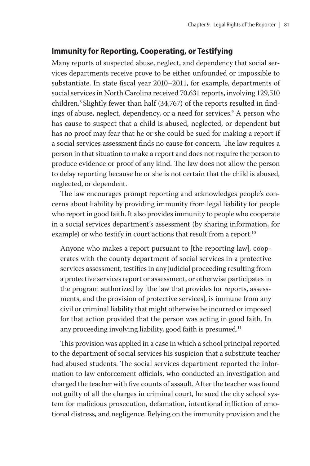#### **Immunity for Reporting, Cooperating, or Testifying**

Many reports of suspected abuse, neglect, and dependency that social services departments receive prove to be either unfounded or impossible to substantiate. In state fiscal year 2010–2011, for example, departments of social services in North Carolina received 70,631 reports, involving 129,510 children.<sup>8</sup> Slightly fewer than half (34,767) of the reports resulted in findings of abuse, neglect, dependency, or a need for services.9 A person who has cause to suspect that a child is abused, neglected, or dependent but has no proof may fear that he or she could be sued for making a report if a social services assessment finds no cause for concern. The law requires a person in that situation to make a report and does not require the person to produce evidence or proof of any kind. The law does not allow the person to delay reporting because he or she is not certain that the child is abused, neglected, or dependent.

The law encourages prompt reporting and acknowledges people's concerns about liability by providing immunity from legal liability for people who report in good faith. It also provides immunity to people who cooperate in a social services department's assessment (by sharing information, for example) or who testify in court actions that result from a report.<sup>10</sup>

Anyone who makes a report pursuant to [the reporting law], cooperates with the county department of social services in a protective services assessment, testifies in any judicial proceeding resulting from a protective services report or assessment, or otherwise participates in the program authorized by [the law that provides for reports, assessments, and the provision of protective services], is immune from any civil or criminal liability that might otherwise be incurred or imposed for that action provided that the person was acting in good faith. In any proceeding involving liability, good faith is presumed.<sup>11</sup>

This provision was applied in a case in which a school principal reported to the department of social services his suspicion that a substitute teacher had abused students. The social services department reported the information to law enforcement officials, who conducted an investigation and charged the teacher with five counts of assault. After the teacher was found not guilty of all the charges in criminal court, he sued the city school system for malicious prosecution, defamation, intentional infliction of emotional distress, and negligence. Relying on the immunity provision and the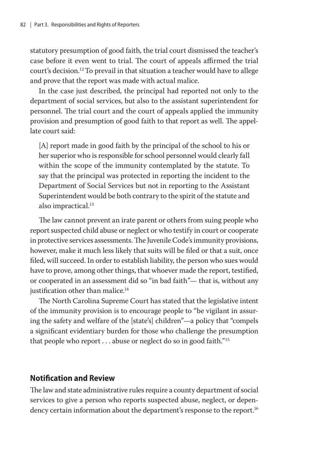statutory presumption of good faith, the trial court dismissed the teacher's case before it even went to trial. The court of appeals affirmed the trial court's decision.12 To prevail in that situation a teacher would have to allege and prove that the report was made with actual malice.

In the case just described, the principal had reported not only to the department of social services, but also to the assistant superintendent for personnel. The trial court and the court of appeals applied the immunity provision and presumption of good faith to that report as well. The appellate court said:

[A] report made in good faith by the principal of the school to his or her superior who is responsible for school personnel would clearly fall within the scope of the immunity contemplated by the statute. To say that the principal was protected in reporting the incident to the Department of Social Services but not in reporting to the Assistant Superintendent would be both contrary to the spirit of the statute and also impractical.<sup>13</sup>

The law cannot prevent an irate parent or others from suing people who report suspected child abuse or neglect or who testify in court or cooperate in protective services assessments. The Juvenile Code's immunity provisions, however, make it much less likely that suits will be filed or that a suit, once filed, will succeed. In order to establish liability, the person who sues would have to prove, among other things, that whoever made the report, testified, or cooperated in an assessment did so "in bad faith"— that is, without any justification other than malice.<sup>14</sup>

The North Carolina Supreme Court has stated that the legislative intent of the immunity provision is to encourage people to "be vigilant in assuring the safety and welfare of the [state's] children"—a policy that "compels a significant evidentiary burden for those who challenge the presumption that people who report  $\dots$  abuse or neglect do so in good faith."<sup>15</sup>

#### **Notification and Review**

The law and state administrative rules require a county department of social services to give a person who reports suspected abuse, neglect, or dependency certain information about the department's response to the report.<sup>16</sup>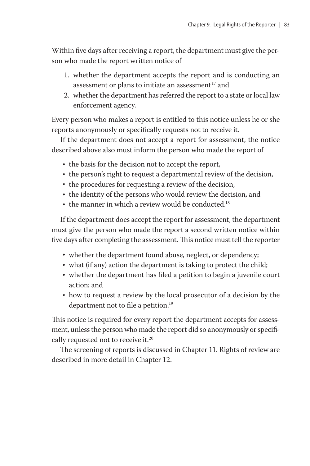Within five days after receiving a report, the department must give the person who made the report written notice of

- 1. whether the department accepts the report and is conducting an assessment or plans to initiate an assessment<sup>17</sup> and
- 2. whether the department has referred the report to a state or local law enforcement agency.

Every person who makes a report is entitled to this notice unless he or she reports anonymously or specifically requests not to receive it.

If the department does not accept a report for assessment, the notice described above also must inform the person who made the report of

- the basis for the decision not to accept the report,
- the person's right to request a departmental review of the decision,
- the procedures for requesting a review of the decision,
- the identity of the persons who would review the decision, and
- the manner in which a review would be conducted.<sup>18</sup>

If the department does accept the report for assessment, the department must give the person who made the report a second written notice within five days after completing the assessment. This notice must tell the reporter

- whether the department found abuse, neglect, or dependency;
- what (if any) action the department is taking to protect the child;
- whether the department has filed a petition to begin a juvenile court action; and
- how to request a review by the local prosecutor of a decision by the department not to file a petition.<sup>19</sup>

This notice is required for every report the department accepts for assessment, unless the person who made the report did so anonymously or specifically requested not to receive it.<sup>20</sup>

The screening of reports is discussed in Chapter 11. Rights of review are described in more detail in Chapter 12.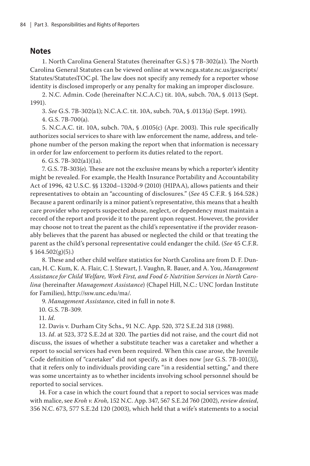#### **Notes**

1. North Carolina General Statutes (hereinafter G.S.) § 7B-302(a1). The North Carolina General Statutes can be viewed online at www.ncga.state.nc.us/gascripts/ Statutes/StatutesTOC.pl. The law does not specify any remedy for a reporter whose identity is disclosed improperly or any penalty for making an improper disclosure.

2. N.C. Admin. Code (hereinafter N.C.A.C.) tit. 10A, subch. 70A, § .0113 (Sept. 1991).

3. *See* G.S. 7B-302(a1); N.C.A.C. tit. 10A, subch. 70A, § .0113(a) (Sept. 1991).

4. G.S. 7B-700(a).

5. N.C.A.C. tit. 10A, subch. 70A, § .0105(c) (Apr. 2003). This rule specifically authorizes social services to share with law enforcement the name, address, and telephone number of the person making the report when that information is necessary in order for law enforcement to perform its duties related to the report.

6. G.S. 7B-302(a1)(1a).

7. G.S. 7B-303(e). These are not the exclusive means by which a reporter's identity might be revealed. For example, the Health Insurance Portability and Accountability Act of 1996, 42 U.S.C. §§ 1320d–1320d-9 (2010) (HIPAA), allows patients and their representatives to obtain an "accounting of disclosures." (*See* 45 C.F.R. § 164.528.) Because a parent ordinarily is a minor patient's representative, this means that a health care provider who reports suspected abuse, neglect, or dependency must maintain a record of the report and provide it to the parent upon request. However, the provider may choose not to treat the parent as the child's representative if the provider reasonably believes that the parent has abused or neglected the child or that treating the parent as the child's personal representative could endanger the child. (*See* 45 C.F.R.  $$164.502(g)(5)$ .)

8. These and other child welfare statistics for North Carolina are from D. F. Duncan, H. C. Kum, K. A. Flair, C. J. Stewart, J. Vaughn, R. Bauer, and A. You, *Management Assistance for Child Welfare, Work First, and Food & Nutrition Services in North Carolina* (hereinafter *Management Assistance*) (Chapel Hill, N.C.: UNC Jordan Institute for Families), http://ssw.unc.edu/ma/.

9. *Management Assistance*, cited in full in note 8.

10. G.S. 7B-309.

11. *Id.*

12. Davis v. Durham City Schs., 91 N.C. App. 520, 372 S.E.2d 318 (1988).

13. *Id*. at 523, 372 S.E.2d at 320. The parties did not raise, and the court did not discuss, the issues of whether a substitute teacher was a caretaker and whether a report to social services had even been required. When this case arose, the Juvenile Code definition of "caretaker" did not specify, as it does now [*see* G.S. 7B-101(3)], that it refers only to individuals providing care "in a residential setting," and there was some uncertainty as to whether incidents involving school personnel should be reported to social services.

14. For a case in which the court found that a report to social services was made with malice, see *Kroh v. Kroh*, 152 N.C. App. 347, 567 S.E.2d 760 (2002), *review denied*, 356 N.C. 673, 577 S.E.2d 120 (2003), which held that a wife's statements to a social